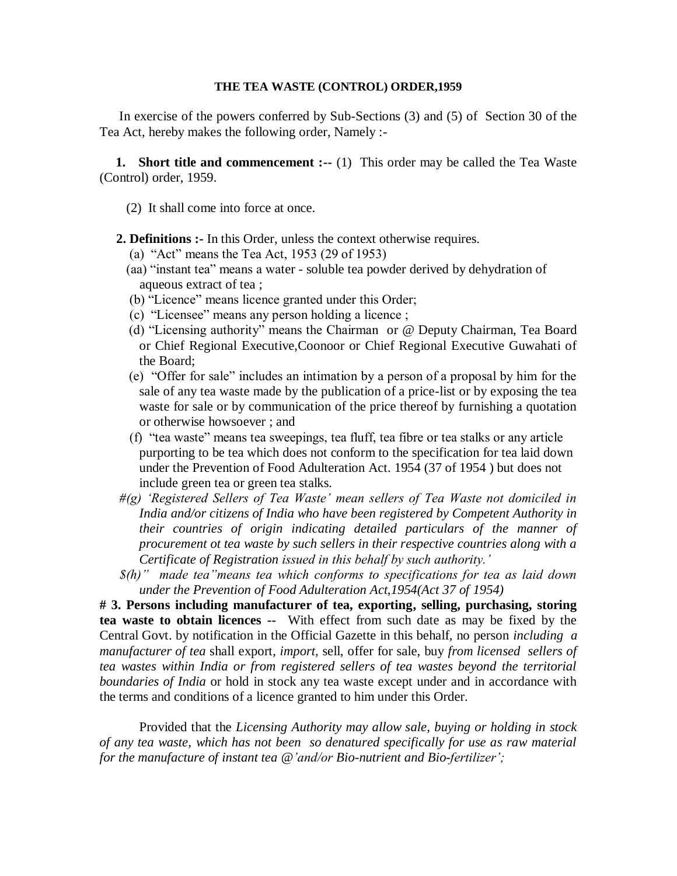#### **THE TEA WASTE (CONTROL) ORDER,1959**

In exercise of the powers conferred by Sub-Sections (3) and (5) of Section 30 of the Tea Act, hereby makes the following order, Namely :-

**1.** Short title and commencement :-- (1) This order may be called the Tea Waste (Control) order, 1959.

- (2) It shall come into force at once.
- **2. Definitions :-** In this Order, unless the context otherwise requires.
	- (a) "Act" means the Tea Act, 1953 (29 of 1953)
	- (aa) "instant tea" means a water soluble tea powder derived by dehydration of aqueous extract of tea ;
	- (b) "Licence" means licence granted under this Order;
	- (c) "Licensee" means any person holding a licence ;
	- (d) "Licensing authority" means the Chairman or @ Deputy Chairman, Tea Board or Chief Regional Executive,Coonoor or Chief Regional Executive Guwahati of the Board;
	- (e) "Offer for sale" includes an intimation by a person of a proposal by him for the sale of any tea waste made by the publication of a price-list or by exposing the tea waste for sale or by communication of the price thereof by furnishing a quotation or otherwise howsoever ; and
	- (f) "tea waste" means tea sweepings, tea fluff, tea fibre or tea stalks or any article purporting to be tea which does not conform to the specification for tea laid down under the Prevention of Food Adulteration Act. 1954 (37 of 1954 ) but does not include green tea or green tea stalks.
- *#(g) 'Registered Sellers of Tea Waste' mean sellers of Tea Waste not domiciled in India and/or citizens of India who have been registered by Competent Authority in their countries of origin indicating detailed particulars of the manner of procurement ot tea waste by such sellers in their respective countries along with a Certificate of Registration issued in this behalf by such authority.'*
- *\$(h)" made tea"means tea which conforms to specifications for tea as laid down under the Prevention of Food Adulteration Act,1954(Act 37 of 1954)*

**# 3. Persons including manufacturer of tea, exporting, selling, purchasing, storing tea waste to obtain licences --** With effect from such date as may be fixed by the Central Govt. by notification in the Official Gazette in this behalf, no person *including a manufacturer of tea* shall export, *import,* sell, offer for sale, buy *from licensed sellers of tea wastes within India or from registered sellers of tea wastes beyond the territorial boundaries of India* or hold in stock any tea waste except under and in accordance with the terms and conditions of a licence granted to him under this Order.

Provided that the *Licensing Authority may allow sale, buying or holding in stock of any tea waste, which has not been so denatured specifically for use as raw material for the manufacture of instant tea @'and/or Bio-nutrient and Bio-fertilizer';*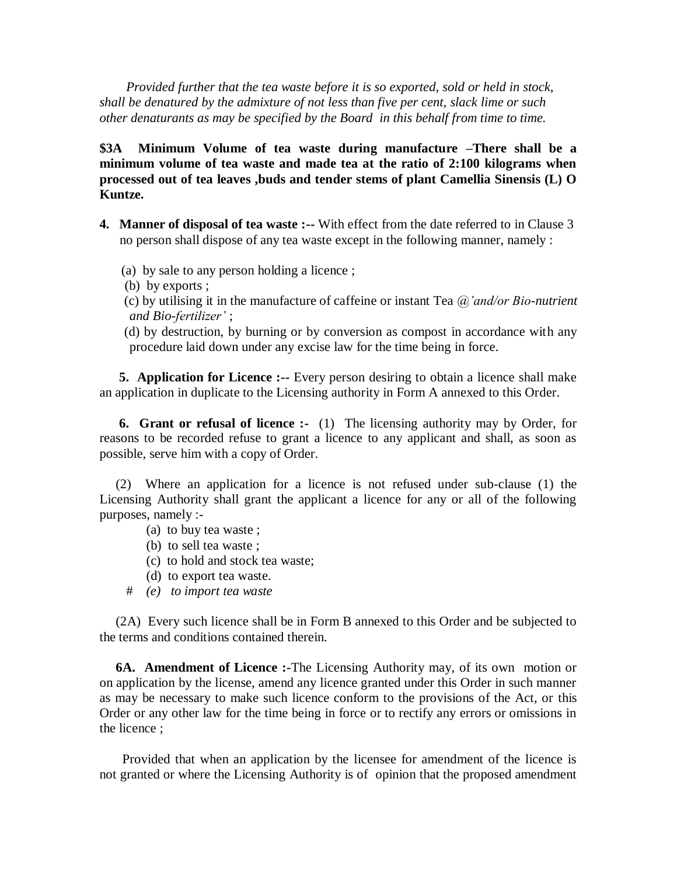*Provided further that the tea waste before it is so exported, sold or held in stock, shall be denatured by the admixture of not less than five per cent, slack lime or such other denaturants as may be specified by the Board in this behalf from time to time.*

**\$3A Minimum Volume of tea waste during manufacture –There shall be a minimum volume of tea waste and made tea at the ratio of 2:100 kilograms when processed out of tea leaves ,buds and tender stems of plant Camellia Sinensis (L) O Kuntze.** 

- **4. Manner of disposal of tea waste :--** With effect from the date referred to in Clause 3 no person shall dispose of any tea waste except in the following manner, namely :
	- (a) by sale to any person holding a licence ;
	- (b) by exports ;
	- (c) by utilising it in the manufacture of caffeine or instant Tea *@'and/or Bio-nutrient and Bio-fertilizer'* ;
	- (d) by destruction, by burning or by conversion as compost in accordance with any procedure laid down under any excise law for the time being in force.

**5. Application for Licence :--** Every person desiring to obtain a licence shall make an application in duplicate to the Licensing authority in Form A annexed to this Order.

 **6. Grant or refusal of licence :-** (1) The licensing authority may by Order, for reasons to be recorded refuse to grant a licence to any applicant and shall, as soon as possible, serve him with a copy of Order.

 (2) Where an application for a licence is not refused under sub-clause (1) the Licensing Authority shall grant the applicant a licence for any or all of the following purposes, namely :-

- (a) to buy tea waste ;
- (b) to sell tea waste ;
- (c) to hold and stock tea waste;
- (d) to export tea waste.
- # *(e) to import tea waste*

 (2A) Every such licence shall be in Form B annexed to this Order and be subjected to the terms and conditions contained therein.

 **6A. Amendment of Licence :-**The Licensing Authority may, of its own motion or on application by the license, amend any licence granted under this Order in such manner as may be necessary to make such licence conform to the provisions of the Act, or this Order or any other law for the time being in force or to rectify any errors or omissions in the licence ;

 Provided that when an application by the licensee for amendment of the licence is not granted or where the Licensing Authority is of opinion that the proposed amendment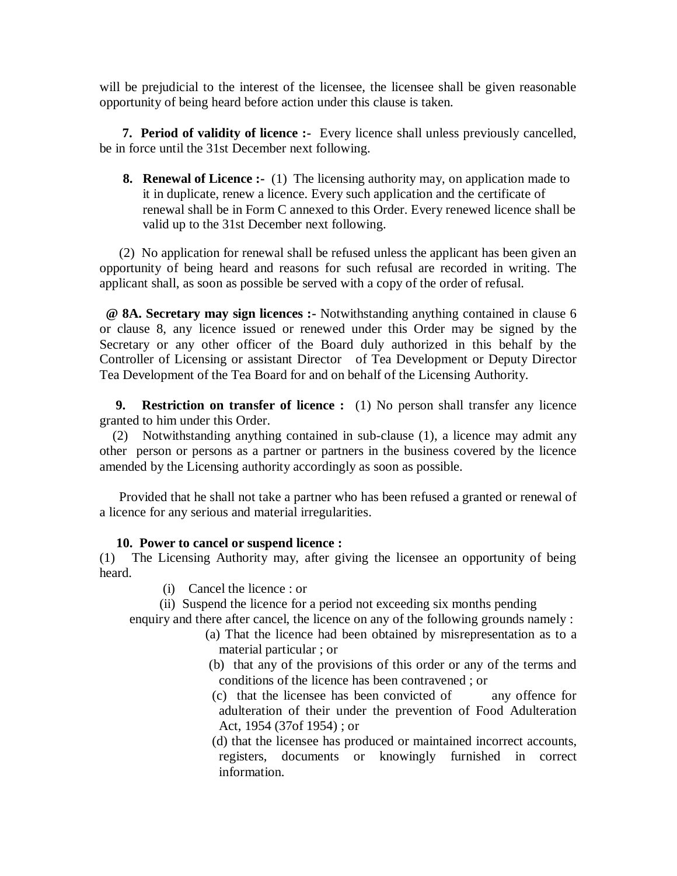will be prejudicial to the interest of the licensee, the licensee shall be given reasonable opportunity of being heard before action under this clause is taken.

 **7. Period of validity of licence :-** Every licence shall unless previously cancelled, be in force until the 31st December next following.

**8. Renewal of Licence :-** (1) The licensing authority may, on application made to it in duplicate, renew a licence. Every such application and the certificate of renewal shall be in Form C annexed to this Order. Every renewed licence shall be valid up to the 31st December next following.

 (2) No application for renewal shall be refused unless the applicant has been given an opportunity of being heard and reasons for such refusal are recorded in writing. The applicant shall, as soon as possible be served with a copy of the order of refusal.

 **@ 8A. Secretary may sign licences :-** Notwithstanding anything contained in clause 6 or clause 8, any licence issued or renewed under this Order may be signed by the Secretary or any other officer of the Board duly authorized in this behalf by the Controller of Licensing or assistant Director of Tea Development or Deputy Director Tea Development of the Tea Board for and on behalf of the Licensing Authority.

 **9. Restriction on transfer of licence :** (1) No person shall transfer any licence granted to him under this Order.

 (2) Notwithstanding anything contained in sub-clause (1), a licence may admit any other person or persons as a partner or partners in the business covered by the licence amended by the Licensing authority accordingly as soon as possible.

 Provided that he shall not take a partner who has been refused a granted or renewal of a licence for any serious and material irregularities.

## **10. Power to cancel or suspend licence :**

(1) The Licensing Authority may, after giving the licensee an opportunity of being heard.

- (i) Cancel the licence : or
- (ii) Suspend the licence for a period not exceeding six months pending

enquiry and there after cancel, the licence on any of the following grounds namely :

- (a) That the licence had been obtained by misrepresentation as to a material particular ; or
- (b) that any of the provisions of this order or any of the terms and conditions of the licence has been contravened ; or
- (c) that the licensee has been convicted of any offence for adulteration of their under the prevention of Food Adulteration Act, 1954 (37of 1954) ; or

 (d) that the licensee has produced or maintained incorrect accounts, registers, documents or knowingly furnished in correct information.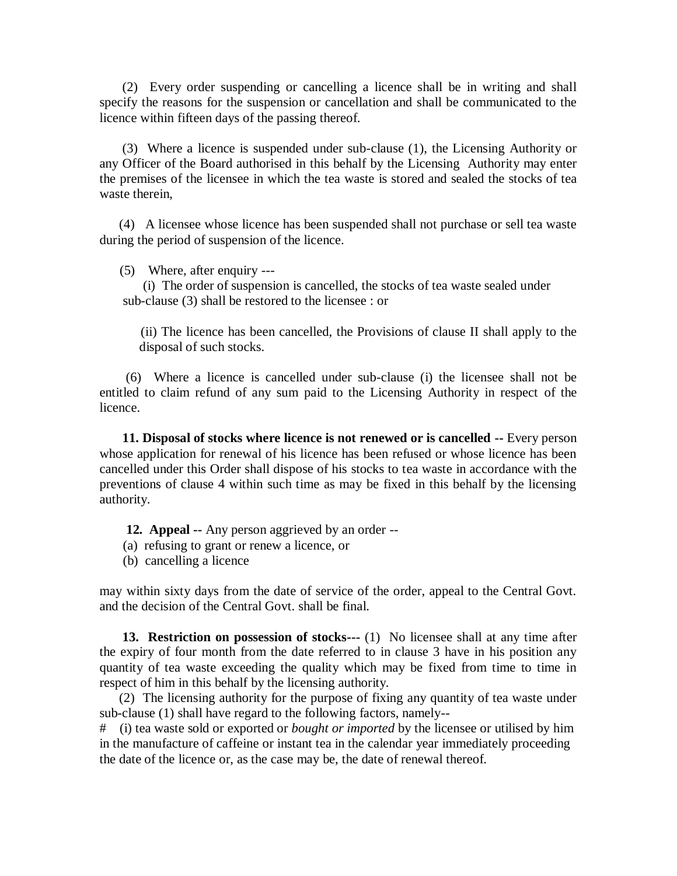(2) Every order suspending or cancelling a licence shall be in writing and shall specify the reasons for the suspension or cancellation and shall be communicated to the licence within fifteen days of the passing thereof.

 (3) Where a licence is suspended under sub-clause (1), the Licensing Authority or any Officer of the Board authorised in this behalf by the Licensing Authority may enter the premises of the licensee in which the tea waste is stored and sealed the stocks of tea waste therein,

 (4) A licensee whose licence has been suspended shall not purchase or sell tea waste during the period of suspension of the licence.

(5) Where, after enquiry ---

 (i) The order of suspension is cancelled, the stocks of tea waste sealed under sub-clause (3) shall be restored to the licensee : or

 (ii) The licence has been cancelled, the Provisions of clause II shall apply to the disposal of such stocks.

 (6) Where a licence is cancelled under sub-clause (i) the licensee shall not be entitled to claim refund of any sum paid to the Licensing Authority in respect of the licence.

 **11. Disposal of stocks where licence is not renewed or is cancelled --** Every person whose application for renewal of his licence has been refused or whose licence has been cancelled under this Order shall dispose of his stocks to tea waste in accordance with the preventions of clause 4 within such time as may be fixed in this behalf by the licensing authority.

 **12. Appeal --** Any person aggrieved by an order --

- (a) refusing to grant or renew a licence, or
- (b) cancelling a licence

may within sixty days from the date of service of the order, appeal to the Central Govt. and the decision of the Central Govt. shall be final.

 **13. Restriction on possession of stocks---** (1) No licensee shall at any time after the expiry of four month from the date referred to in clause 3 have in his position any quantity of tea waste exceeding the quality which may be fixed from time to time in respect of him in this behalf by the licensing authority.

 (2) The licensing authority for the purpose of fixing any quantity of tea waste under sub-clause (1) shall have regard to the following factors, namely--

# (i) tea waste sold or exported or *bought or imported* by the licensee or utilised by him in the manufacture of caffeine or instant tea in the calendar year immediately proceeding the date of the licence or, as the case may be, the date of renewal thereof.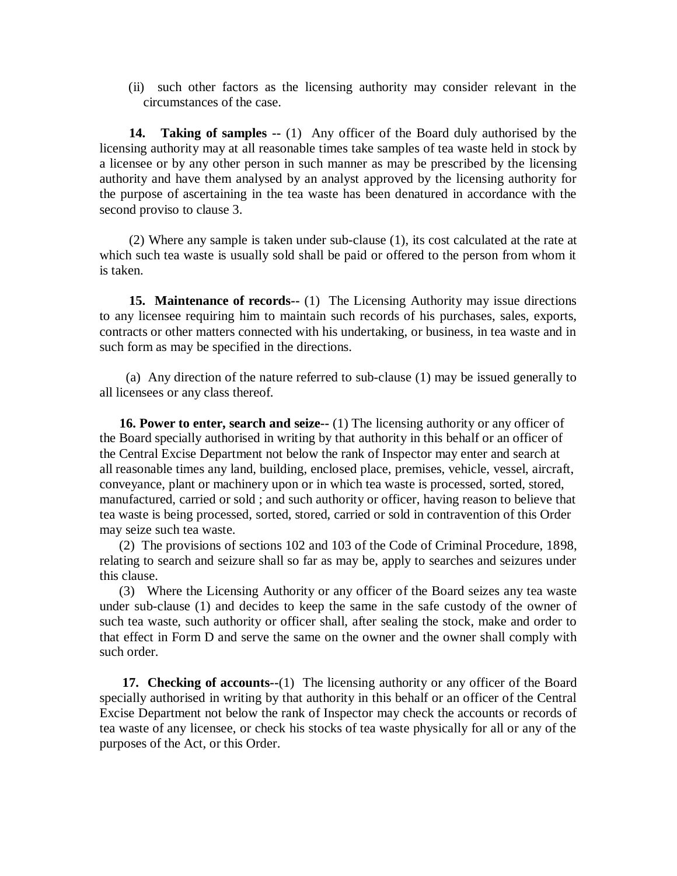(ii) such other factors as the licensing authority may consider relevant in the circumstances of the case.

 **14. Taking of samples --** (1) Any officer of the Board duly authorised by the licensing authority may at all reasonable times take samples of tea waste held in stock by a licensee or by any other person in such manner as may be prescribed by the licensing authority and have them analysed by an analyst approved by the licensing authority for the purpose of ascertaining in the tea waste has been denatured in accordance with the second proviso to clause 3.

 (2) Where any sample is taken under sub-clause (1), its cost calculated at the rate at which such tea waste is usually sold shall be paid or offered to the person from whom it is taken.

 **15. Maintenance of records--** (1) The Licensing Authority may issue directions to any licensee requiring him to maintain such records of his purchases, sales, exports, contracts or other matters connected with his undertaking, or business, in tea waste and in such form as may be specified in the directions.

 (a) Any direction of the nature referred to sub-clause (1) may be issued generally to all licensees or any class thereof.

**16. Power to enter, search and seize--** (1) The licensing authority or any officer of the Board specially authorised in writing by that authority in this behalf or an officer of the Central Excise Department not below the rank of Inspector may enter and search at all reasonable times any land, building, enclosed place, premises, vehicle, vessel, aircraft, conveyance, plant or machinery upon or in which tea waste is processed, sorted, stored, manufactured, carried or sold ; and such authority or officer, having reason to believe that tea waste is being processed, sorted, stored, carried or sold in contravention of this Order may seize such tea waste.

 (2) The provisions of sections 102 and 103 of the Code of Criminal Procedure, 1898, relating to search and seizure shall so far as may be, apply to searches and seizures under this clause.

 (3) Where the Licensing Authority or any officer of the Board seizes any tea waste under sub-clause (1) and decides to keep the same in the safe custody of the owner of such tea waste, such authority or officer shall, after sealing the stock, make and order to that effect in Form D and serve the same on the owner and the owner shall comply with such order.

 **17. Checking of accounts--**(1) The licensing authority or any officer of the Board specially authorised in writing by that authority in this behalf or an officer of the Central Excise Department not below the rank of Inspector may check the accounts or records of tea waste of any licensee, or check his stocks of tea waste physically for all or any of the purposes of the Act, or this Order.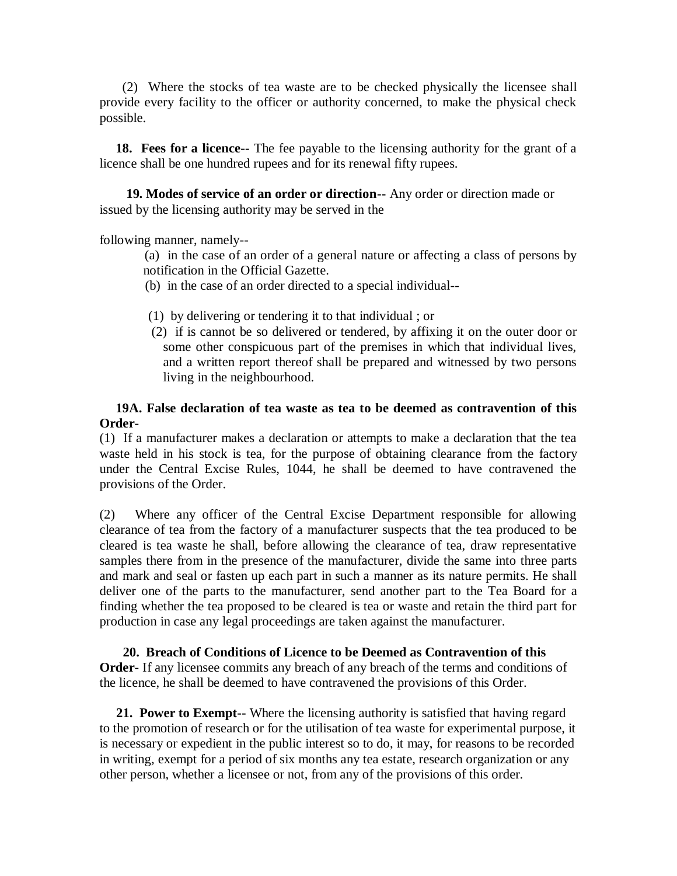(2) Where the stocks of tea waste are to be checked physically the licensee shall provide every facility to the officer or authority concerned, to make the physical check possible.

 **18. Fees for a licence--** The fee payable to the licensing authority for the grant of a licence shall be one hundred rupees and for its renewal fifty rupees.

 **19. Modes of service of an order or direction--** Any order or direction made or issued by the licensing authority may be served in the

following manner, namely--

 (a) in the case of an order of a general nature or affecting a class of persons by notification in the Official Gazette.

- (b) in the case of an order directed to a special individual--
- (1) by delivering or tendering it to that individual ; or
- (2) if is cannot be so delivered or tendered, by affixing it on the outer door or some other conspicuous part of the premises in which that individual lives, and a written report thereof shall be prepared and witnessed by two persons living in the neighbourhood.

# **19A. False declaration of tea waste as tea to be deemed as contravention of this Order-**

(1) If a manufacturer makes a declaration or attempts to make a declaration that the tea waste held in his stock is tea, for the purpose of obtaining clearance from the factory under the Central Excise Rules, 1044, he shall be deemed to have contravened the provisions of the Order.

(2) Where any officer of the Central Excise Department responsible for allowing clearance of tea from the factory of a manufacturer suspects that the tea produced to be cleared is tea waste he shall, before allowing the clearance of tea, draw representative samples there from in the presence of the manufacturer, divide the same into three parts and mark and seal or fasten up each part in such a manner as its nature permits. He shall deliver one of the parts to the manufacturer, send another part to the Tea Board for a finding whether the tea proposed to be cleared is tea or waste and retain the third part for production in case any legal proceedings are taken against the manufacturer.

 **20. Breach of Conditions of Licence to be Deemed as Contravention of this Order-** If any licensee commits any breach of any breach of the terms and conditions of the licence, he shall be deemed to have contravened the provisions of this Order.

 **21. Power to Exempt--** Where the licensing authority is satisfied that having regard to the promotion of research or for the utilisation of tea waste for experimental purpose, it is necessary or expedient in the public interest so to do, it may, for reasons to be recorded in writing, exempt for a period of six months any tea estate, research organization or any other person, whether a licensee or not, from any of the provisions of this order.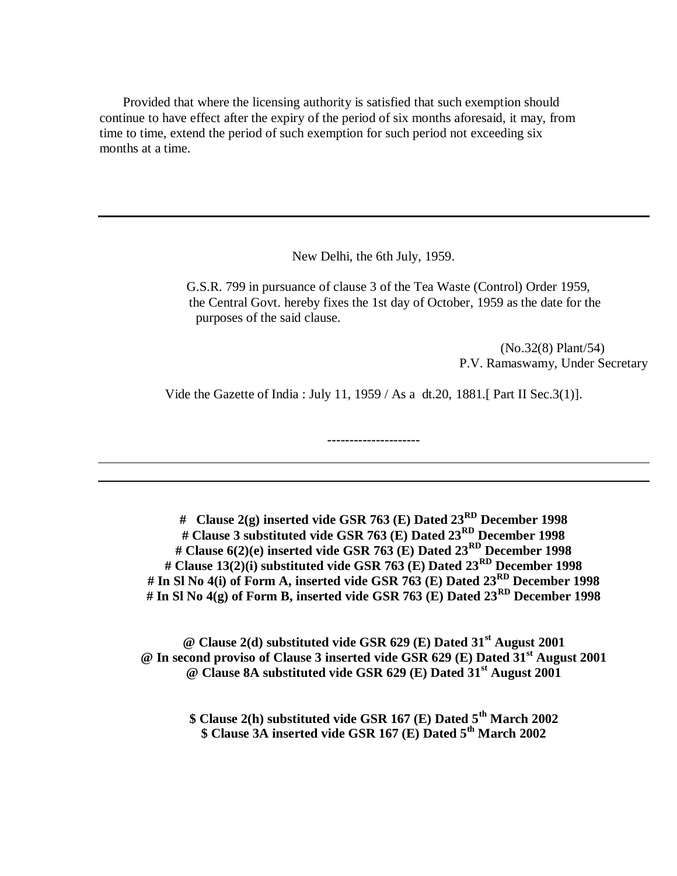Provided that where the licensing authority is satisfied that such exemption should continue to have effect after the expiry of the period of six months aforesaid, it may, from time to time, extend the period of such exemption for such period not exceeding six months at a time.

New Delhi, the 6th July, 1959.

 G.S.R. 799 in pursuance of clause 3 of the Tea Waste (Control) Order 1959, the Central Govt. hereby fixes the 1st day of October, 1959 as the date for the purposes of the said clause.

> (No.32(8) Plant/54) P.V. Ramaswamy, Under Secretary

Vide the Gazette of India : July 11, 1959 / As a dt.20, 1881.[ Part II Sec.3(1)].

**---------------------**

**# Clause 2(g) inserted vide GSR 763 (E) Dated 23RD December 1998 # Clause 3 substituted vide GSR 763 (E) Dated 23RD December 1998 # Clause 6(2)(e) inserted vide GSR 763 (E) Dated 23RD December 1998 # Clause 13(2)(i) substituted vide GSR 763 (E) Dated 23RD December 1998 # In Sl No 4(i) of Form A, inserted vide GSR 763 (E) Dated 23RD December 1998 # In Sl No 4(g) of Form B, inserted vide GSR 763 (E) Dated 23RD December 1998**

**@ Clause 2(d) substituted vide GSR 629 (E) Dated 31st August 2001 @ In second proviso of Clause 3 inserted vide GSR 629 (E) Dated 31st August 2001 @ Clause 8A substituted vide GSR 629 (E) Dated 31st August 2001**

**\$ Clause 2(h) substituted vide GSR 167 (E) Dated 5th March 2002 \$ Clause 3A inserted vide GSR 167 (E) Dated 5th March 2002**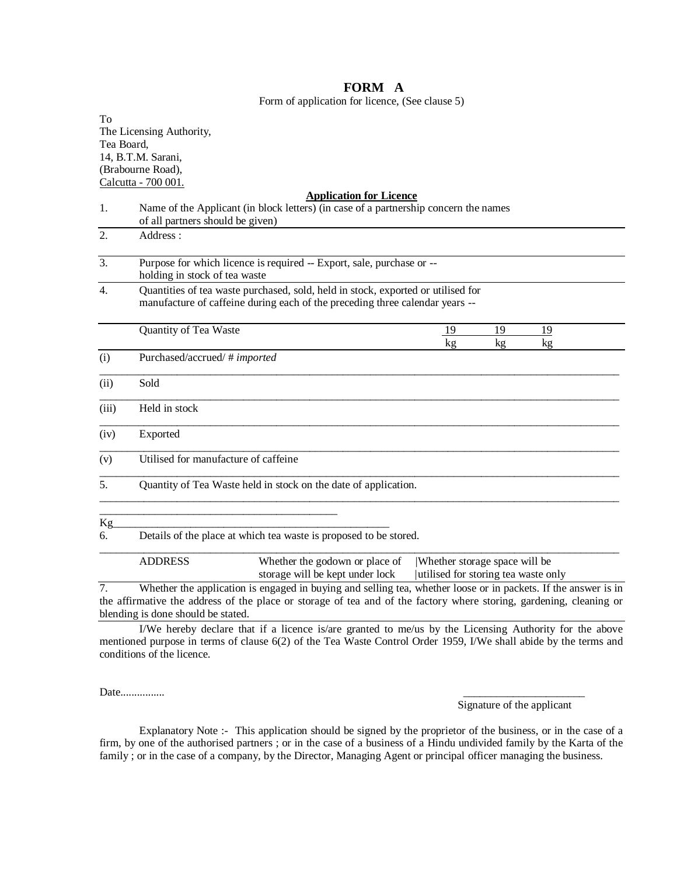### To The Licensing Authority, Tea Board, 14, B.T.M. Sarani, (Brabourne Road), Calcutta - 700 001. **Application for Licence** 1. Name of the Applicant (in block letters) (in case of a partnership concern the names of all partners should be given) 2. Address : 3. Purpose for which licence is required -- Export, sale, purchase or - holding in stock of tea waste 4. Quantities of tea waste purchased, sold, held in stock, exported or utilised for manufacture of caffeine during each of the preceding three calendar years -- Quantity of Tea Waste 19 19 19 19 kg kg kg kg (i) Purchased/accrued/ # *imported*  $\overline{a}$  , and the state of the state of the state of the state of the state of the state of the state of the state of the state of the state of the state of the state of the state of the state of the state of the state o (ii) Sold  $\overline{a}$  , and the state of the state of the state of the state of the state of the state of the state of the state of the state of the state of the state of the state of the state of the state of the state of the state o (iii) Held in stock  $\overline{a}$  , and the state of the state of the state of the state of the state of the state of the state of the state of the state of the state of the state of the state of the state of the state of the state of the state o (iv) Exported  $\overline{a}$  , and the state of the state of the state of the state of the state of the state of the state of the state of the state of the state of the state of the state of the state of the state of the state of the state o (v) Utilised for manufacture of caffeine  $\overline{a}$  , and the state of the state of the state of the state of the state of the state of the state of the state of the state of the state of the state of the state of the state of the state of the state of the state o 5. Quantity of Tea Waste held in stock on the date of application.  $\overline{a}$  , and the state of the state of the state of the state of the state of the state of the state of the state of the state of the state of the state of the state of the state of the state of the state of the state o \_\_\_\_\_\_\_\_\_\_\_\_\_\_\_\_\_\_\_\_\_\_\_\_\_\_\_\_\_\_\_\_\_\_\_\_\_\_\_\_\_\_\_ Kg\_\_\_\_\_\_\_\_\_\_\_\_\_\_\_\_\_\_\_\_\_\_\_\_\_\_\_\_\_\_\_\_\_\_\_\_\_\_\_\_\_\_\_\_\_\_\_\_\_\_ 6. Details of the place at which tea waste is proposed to be stored.  $\overline{a}$  , and the state of the state of the state of the state of the state of the state of the state of the state of the state of the state of the state of the state of the state of the state of the state of the state o ADDRESS Whether the godown or place of |Whether storage space will be storage will be kept under lock | utilised for storing tea waste only 7. Whether the application is engaged in buying and selling tea, whether loose or in packets. If the answer is in the affirmative the address of the place or storage of tea and of the factory where storing, gardening, cleaning or blending is done should be stated.

I/We hereby declare that if a licence is/are granted to me/us by the Licensing Authority for the above mentioned purpose in terms of clause 6(2) of the Tea Waste Control Order 1959, I/We shall abide by the terms and conditions of the licence.

Date................

Signature of the applicant

Explanatory Note :- This application should be signed by the proprietor of the business, or in the case of a firm, by one of the authorised partners ; or in the case of a business of a Hindu undivided family by the Karta of the family ; or in the case of a company, by the Director, Managing Agent or principal officer managing the business.

#### **FORM A** Form of application for licence, (See clause 5)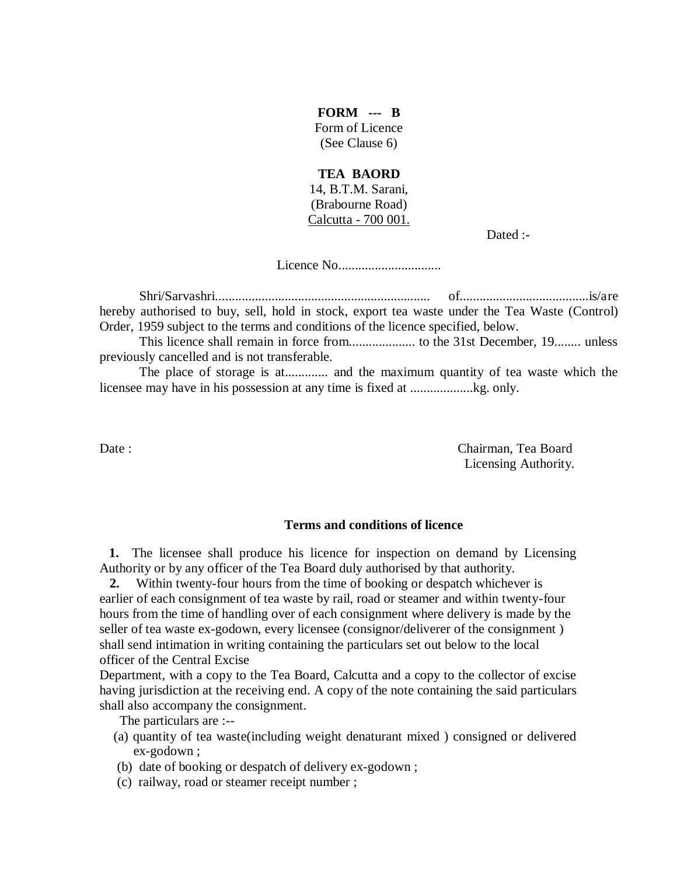**FORM --- B** Form of Licence (See Clause 6)

### **TEA BAORD**

14, B.T.M. Sarani, (Brabourne Road) Calcutta - 700 001.

Dated :-

Licence No...............................

Shri/Sarvashri................................................................. of.......................................is/are hereby authorised to buy, sell, hold in stock, export tea waste under the Tea Waste (Control) Order, 1959 subject to the terms and conditions of the licence specified, below.

This licence shall remain in force from.................... to the 31st December, 19........ unless previously cancelled and is not transferable.

The place of storage is at............. and the maximum quantity of tea waste which the licensee may have in his possession at any time is fixed at ...................kg. only.

Date : Chairman, Tea Board Licensing Authority.

### **Terms and conditions of licence**

 **1.** The licensee shall produce his licence for inspection on demand by Licensing Authority or by any officer of the Tea Board duly authorised by that authority.

 **2.** Within twenty-four hours from the time of booking or despatch whichever is earlier of each consignment of tea waste by rail, road or steamer and within twenty-four hours from the time of handling over of each consignment where delivery is made by the seller of tea waste ex-godown, every licensee (consignor/deliverer of the consignment ) shall send intimation in writing containing the particulars set out below to the local officer of the Central Excise

Department, with a copy to the Tea Board, Calcutta and a copy to the collector of excise having jurisdiction at the receiving end. A copy of the note containing the said particulars shall also accompany the consignment.

The particulars are :--

- (a) quantity of tea waste(including weight denaturant mixed ) consigned or delivered ex-godown ;
- (b) date of booking or despatch of delivery ex-godown ;
- (c) railway, road or steamer receipt number ;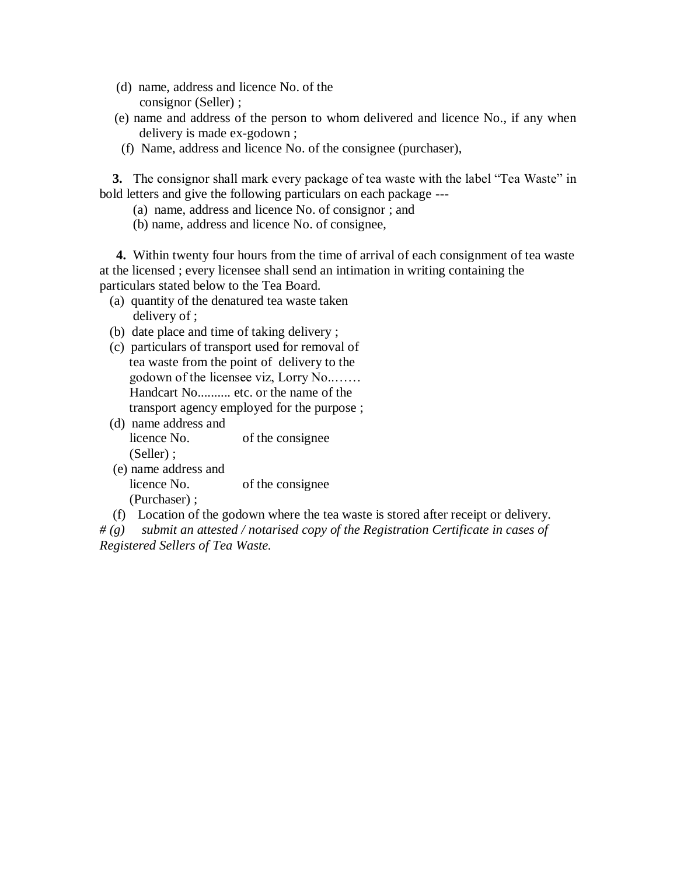- (d) name, address and licence No. of the consignor (Seller) ;
- (e) name and address of the person to whom delivered and licence No., if any when delivery is made ex-godown ;
- (f) Name, address and licence No. of the consignee (purchaser),

 **3.** The consignor shall mark every package of tea waste with the label "Tea Waste" in bold letters and give the following particulars on each package ---

- (a) name, address and licence No. of consignor ; and
- (b) name, address and licence No. of consignee,

 **4.** Within twenty four hours from the time of arrival of each consignment of tea waste at the licensed ; every licensee shall send an intimation in writing containing the particulars stated below to the Tea Board.

- (a) quantity of the denatured tea waste taken delivery of ;
- (b) date place and time of taking delivery ;
- (c) particulars of transport used for removal of tea waste from the point of delivery to the godown of the licensee viz, Lorry No..…… Handcart No.......... etc. or the name of the transport agency employed for the purpose ;
- (d) name address and licence No. of the consignee (Seller) ;
- (e) name address and licence No. of the consignee (Purchaser) ;
- (f) Location of the godown where the tea waste is stored after receipt or delivery.

*# (g) submit an attested / notarised copy of the Registration Certificate in cases of Registered Sellers of Tea Waste.*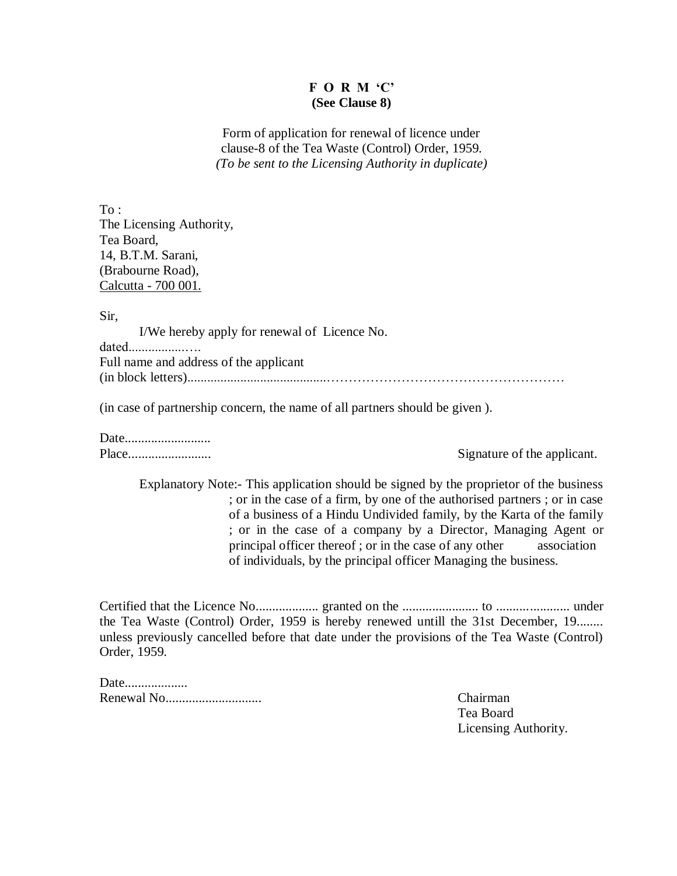# **F O R M "C" (See Clause 8)**

Form of application for renewal of licence under clause-8 of the Tea Waste (Control) Order, 1959. *(To be sent to the Licensing Authority in duplicate)*

To : The Licensing Authority, Tea Board, 14, B.T.M. Sarani, (Brabourne Road), Calcutta - 700 001.

Sir,

I/We hereby apply for renewal of Licence No.

dated.................…. Full name and address of the applicant (in block letters)..........................................………………………………………………

(in case of partnership concern, the name of all partners should be given ).

Date..........................

Place......................... Signature of the applicant.

Explanatory Note:- This application should be signed by the proprietor of the business ; or in the case of a firm, by one of the authorised partners ; or in case of a business of a Hindu Undivided family, by the Karta of the family ; or in the case of a company by a Director, Managing Agent or principal officer thereof ; or in the case of any other association of individuals, by the principal officer Managing the business.

Certified that the Licence No................... granted on the ....................... to ...................... under the Tea Waste (Control) Order, 1959 is hereby renewed untill the 31st December, 19........ unless previously cancelled before that date under the provisions of the Tea Waste (Control) Order, 1959.

Date................... Renewal No............................. Chairman

Tea Board Licensing Authority.